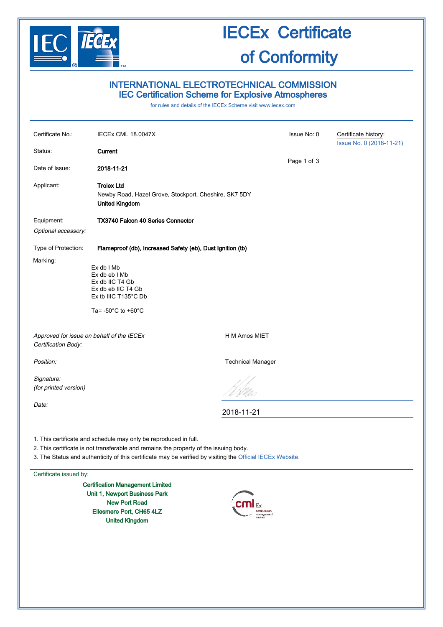

# IECEx Certificate of Conformity

## INTERNATIONAL ELECTROTECHNICAL COMMISSION IEC Certification Scheme for Explosive Atmospheres

for rules and details of the IECEx Scheme visit [www.iecex.com](http://www.iecex.com/)

| Certificate No.:                                                                                                                                                                                                                                                        | IECEx CML 18.0047X                                                                                                                       |                                        | Issue No: 0 | Certificate history:<br>Issue No. 0 (2018-11-21) |
|-------------------------------------------------------------------------------------------------------------------------------------------------------------------------------------------------------------------------------------------------------------------------|------------------------------------------------------------------------------------------------------------------------------------------|----------------------------------------|-------------|--------------------------------------------------|
| Status:                                                                                                                                                                                                                                                                 | Current                                                                                                                                  |                                        |             |                                                  |
| Date of Issue:                                                                                                                                                                                                                                                          | 2018-11-21                                                                                                                               |                                        | Page 1 of 3 |                                                  |
| Applicant:                                                                                                                                                                                                                                                              | <b>Trolex Ltd</b><br>Newby Road, Hazel Grove, Stockport, Cheshire, SK7 5DY<br><b>United Kingdom</b>                                      |                                        |             |                                                  |
| Equipment:                                                                                                                                                                                                                                                              | <b>TX3740 Falcon 40 Series Connector</b>                                                                                                 |                                        |             |                                                  |
| Optional accessory:                                                                                                                                                                                                                                                     |                                                                                                                                          |                                        |             |                                                  |
| Type of Protection:                                                                                                                                                                                                                                                     | Flameproof (db), Increased Safety (eb), Dust Ignition (tb)                                                                               |                                        |             |                                                  |
| Marking:                                                                                                                                                                                                                                                                | $Ex db$ I Mb<br>Ex db eb I Mb<br>Ex db IIC T4 Gb<br>Ex db eb IIC T4 Gb<br>Ex tb IIIC T135°C Db<br>Ta= $-50^{\circ}$ C to $+60^{\circ}$ C |                                        |             |                                                  |
| Approved for issue on behalf of the IECEx<br>Certification Body:                                                                                                                                                                                                        |                                                                                                                                          | H M Amos MIET                          |             |                                                  |
| Position:                                                                                                                                                                                                                                                               |                                                                                                                                          | <b>Technical Manager</b>               |             |                                                  |
| Signature:<br>(for printed version)                                                                                                                                                                                                                                     |                                                                                                                                          |                                        |             |                                                  |
| Date:                                                                                                                                                                                                                                                                   |                                                                                                                                          | 2018-11-21                             |             |                                                  |
| 1. This certificate and schedule may only be reproduced in full.<br>2. This certificate is not transferable and remains the property of the issuing body.<br>3. The Status and authenticity of this certificate may be verified by visiting the Official IECEx Website. |                                                                                                                                          |                                        |             |                                                  |
| Certificate issued by:                                                                                                                                                                                                                                                  |                                                                                                                                          |                                        |             |                                                  |
|                                                                                                                                                                                                                                                                         | <b>Certification Management Limited</b><br>Unit 1, Newport Business Park<br><b>New Port Road</b><br>Ellesmere Port, CH65 4LZ             | certification<br>management<br>limited |             |                                                  |

United Kingdom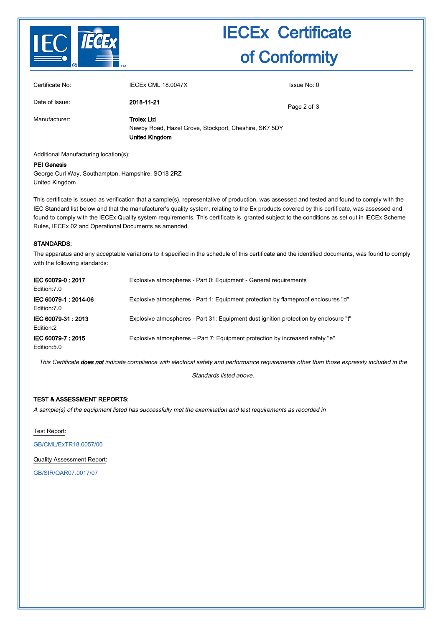

# IECEx Certificate of Conformity

| Certificate No: | <b>IECEX CML 18.0047X</b>                                                                           | Issue No: 0 |
|-----------------|-----------------------------------------------------------------------------------------------------|-------------|
| Date of Issue:  | 2018-11-21                                                                                          | Page 2 of 3 |
| Manufacturer:   | <b>Trolex Ltd</b><br>Newby Road, Hazel Grove, Stockport, Cheshire, SK7 5DY<br><b>United Kingdom</b> |             |

Additional Manufacturing location(s):

#### PEI Genesis

George Curl Way, Southampton, Hampshire, SO18 2RZ United Kingdom

This certificate is issued as verification that a sample(s), representative of production, was assessed and tested and found to comply with the IEC Standard list below and that the manufacturer's quality system, relating to the Ex products covered by this certificate, was assessed and found to comply with the IECEx Quality system requirements. This certificate is granted subject to the conditions as set out in IECEx Scheme Rules, IECEx 02 and Operational Documents as amended.

#### STANDARDS:

The apparatus and any acceptable variations to it specified in the schedule of this certificate and the identified documents, was found to comply with the following standards:

| IEC 60079-0: 2017<br>Edition: 7.0    | Explosive atmospheres - Part 0: Equipment - General requirements                     |
|--------------------------------------|--------------------------------------------------------------------------------------|
| IEC 60079-1: 2014-06<br>Edition: 7.0 | Explosive atmospheres - Part 1: Equipment protection by flameproof enclosures "d"    |
| IEC 60079-31: 2013<br>Edition:2      | Explosive atmospheres - Part 31: Equipment dust ignition protection by enclosure "t" |
| IEC 60079-7: 2015<br>Edition: 5.0    | Explosive atmospheres – Part 7: Equipment protection by increased safety "e"         |

This Certificate does not indicate compliance with electrical safety and performance requirements other than those expressly included in the

Standards listed above.

### TEST & ASSESSMENT REPORTS:

A sample(s) of the equipment listed has successfully met the examination and test requirements as recorded in

Test Report:

[GB/CML/ExTR18.0057/00](http://iecex.iec.ch/extr/GB.CML.ExTR18.0057.00)

Quality Assessment Report:

[GB/SIR/QAR07.0017/07](http://iecex.iec.ch/qar/GB.SIR.QAR07.0017.07)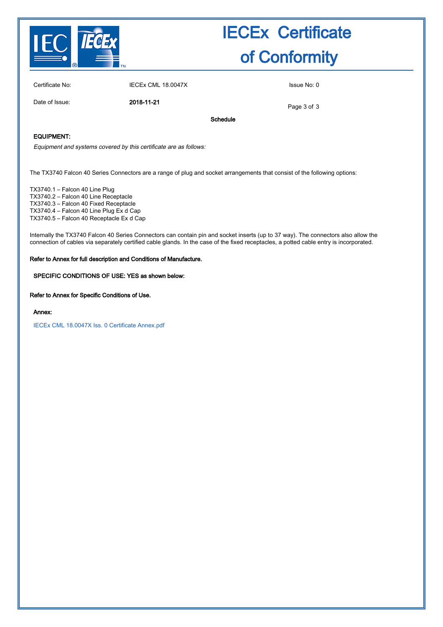

# IECEx Certificate of Conformity

Certificate No: IECEx CML 18.0047X Issue No: 0

Date of Issue: 2018-11-21

Page 3 of 3

Schedule

## EQUIPMENT:

Equipment and systems covered by this certificate are as follows:

The TX3740 Falcon 40 Series Connectors are a range of plug and socket arrangements that consist of the following options:

TX3740.1 – Falcon 40 Line Plug TX3740.2 – Falcon 40 Line Receptacle TX3740.3 – Falcon 40 Fixed Receptacle TX3740.4 – Falcon 40 Line Plug Ex d Cap TX3740.5 – Falcon 40 Receptacle Ex d Cap

Internally the TX3740 Falcon 40 Series Connectors can contain pin and socket inserts (up to 37 way). The connectors also allow the connection of cables via separately certified cable glands. In the case of the fixed receptacles, a potted cable entry is incorporated.

### Refer to Annex for full description and Conditions of Manufacture.

### SPECIFIC CONDITIONS OF USE: YES as shown below:

Refer to Annex for Specific Conditions of Use.

#### Annex:

[IECEx CML 18.0047X Iss. 0 Certificate Annex.pdf](http://iecex.iec.ch/cert/IECExCML18.00470/$File/IECEx CML 18.0047X Iss. 0 Certificate Annex.pdf)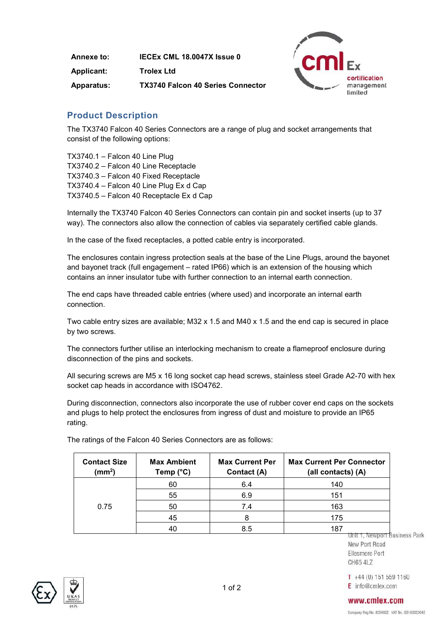| Annexe to:        | IECEX CML 18.0047X Issue 0               |
|-------------------|------------------------------------------|
| <b>Applicant:</b> | <b>Trolex Ltd</b>                        |
| <b>Apparatus:</b> | <b>TX3740 Falcon 40 Series Connector</b> |



# **Product Description**

The TX3740 Falcon 40 Series Connectors are a range of plug and socket arrangements that consist of the following options:

TX3740.1 – Falcon 40 Line Plug TX3740.2 – Falcon 40 Line Receptacle TX3740.3 – Falcon 40 Fixed Receptacle TX3740.4 – Falcon 40 Line Plug Ex d Cap TX3740.5 – Falcon 40 Receptacle Ex d Cap

Internally the TX3740 Falcon 40 Series Connectors can contain pin and socket inserts (up to 37 way). The connectors also allow the connection of cables via separately certified cable glands.

In the case of the fixed receptacles, a potted cable entry is incorporated.

The enclosures contain ingress protection seals at the base of the Line Plugs, around the bayonet and bayonet track (full engagement – rated IP66) which is an extension of the housing which contains an inner insulator tube with further connection to an internal earth connection.

The end caps have threaded cable entries (where used) and incorporate an internal earth connection.

Two cable entry sizes are available; M32 x 1.5 and M40 x 1.5 and the end cap is secured in place by two screws.

The connectors further utilise an interlocking mechanism to create a flameproof enclosure during disconnection of the pins and sockets.

All securing screws are M5 x 16 long socket cap head screws, stainless steel Grade A2-70 with hex socket cap heads in accordance with ISO4762.

During disconnection, connectors also incorporate the use of rubber cover end caps on the sockets and plugs to help protect the enclosures from ingress of dust and moisture to provide an IP65 rating.

| <b>Contact Size</b><br>(mm <sup>2</sup> ) | <b>Max Ambient</b><br>Temp $(^{\circ}C)$ | <b>Max Current Per</b><br>Contact (A) | <b>Max Current Per Connector</b><br>(all contacts) (A) |
|-------------------------------------------|------------------------------------------|---------------------------------------|--------------------------------------------------------|
|                                           | 60                                       | 6.4                                   | 140                                                    |
|                                           | 55                                       | 6.9                                   | 151                                                    |
| 0.75                                      | 50                                       | 7.4                                   | 163                                                    |
|                                           | 45                                       |                                       | 175                                                    |
|                                           | 40                                       | 8.5                                   | 187                                                    |

The ratings of the Falcon 40 Series Connectors are as follows: